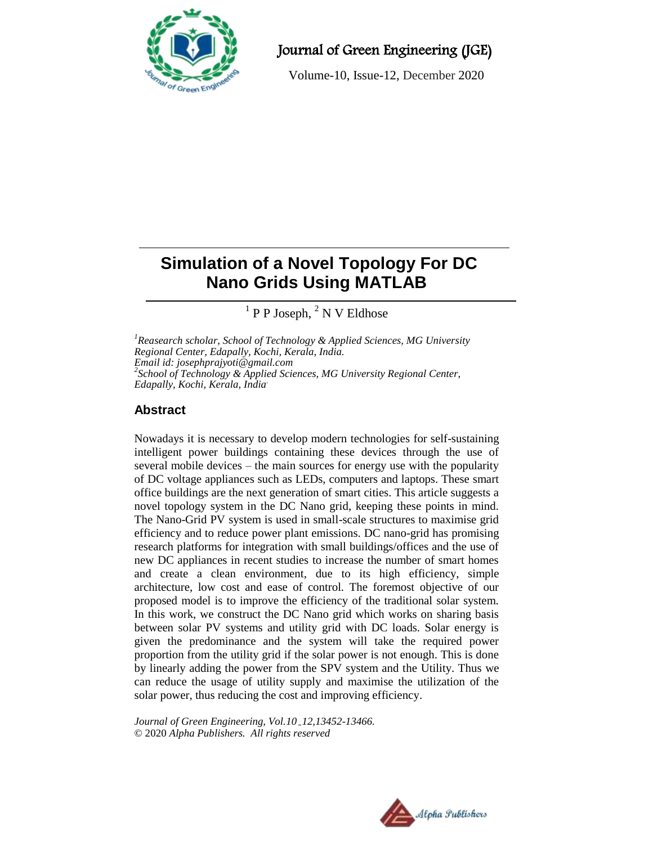

Journal of Green Engineering (JGE)

Volume-10, Issue-12, December 2020

# **Simulation of a Novel Topology For DC Nano Grids Using MATLAB**

 $<sup>1</sup>$  P P Joseph,  $<sup>2</sup>$  N V Eldhose</sup></sup>

*<sup>1</sup>Reasearch scholar, School of Technology & Applied Sciences, MG University Regional Center, Edapally, Kochi, Kerala, India. Email id: josephprajyoti@gmail.com 2 School of Technology & Applied Sciences, MG University Regional Center, Edapally, Kochi, Kerala, India.*

# **Abstract**

Nowadays it is necessary to develop modern technologies for self-sustaining intelligent power buildings containing these devices through the use of several mobile devices – the main sources for energy use with the popularity of DC voltage appliances such as LEDs, computers and laptops. These smart office buildings are the next generation of smart cities. This article suggests a novel topology system in the DC Nano grid, keeping these points in mind. The Nano-Grid PV system is used in small-scale structures to maximise grid efficiency and to reduce power plant emissions. DC nano-grid has promising research platforms for integration with small buildings/offices and the use of new DC appliances in recent studies to increase the number of smart homes and create a clean environment, due to its high efficiency, simple architecture, low cost and ease of control. The foremost objective of our proposed model is to improve the efficiency of the traditional solar system. In this work, we construct the DC Nano grid which works on sharing basis between solar PV systems and utility grid with DC loads. Solar energy is given the predominance and the system will take the required power proportion from the utility grid if the solar power is not enough. This is done by linearly adding the power from the SPV system and the Utility. Thus we can reduce the usage of utility supply and maximise the utilization of the solar power, thus reducing the cost and improving efficiency.

*Journal of Green Engineering, Vol.10 12,13452-13466.* © 2020 *Alpha Publishers. All rights reserved*

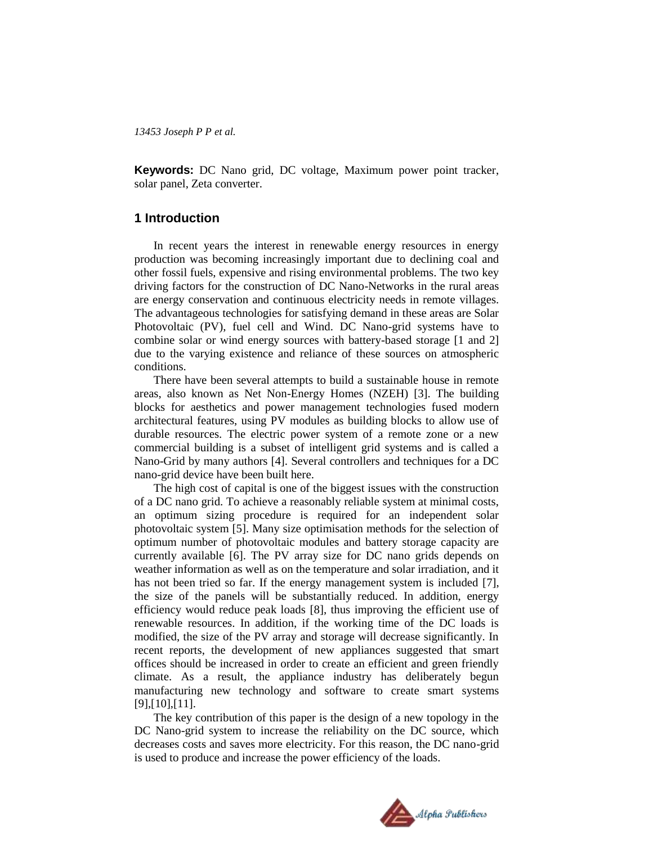**Keywords:** DC Nano grid, DC voltage, Maximum power point tracker, solar panel, Zeta converter.

### **1 Introduction**

In recent years the interest in renewable energy resources in energy production was becoming increasingly important due to declining coal and other fossil fuels, expensive and rising environmental problems. The two key driving factors for the construction of DC Nano-Networks in the rural areas are energy conservation and continuous electricity needs in remote villages. The advantageous technologies for satisfying demand in these areas are Solar Photovoltaic (PV), fuel cell and Wind. DC Nano-grid systems have to combine solar or wind energy sources with battery-based storage [1 and 2] due to the varying existence and reliance of these sources on atmospheric conditions.

There have been several attempts to build a sustainable house in remote areas, also known as Net Non-Energy Homes (NZEH) [3]. The building blocks for aesthetics and power management technologies fused modern architectural features, using PV modules as building blocks to allow use of durable resources. The electric power system of a remote zone or a new commercial building is a subset of intelligent grid systems and is called a Nano-Grid by many authors [4]. Several controllers and techniques for a DC nano-grid device have been built here.

The high cost of capital is one of the biggest issues with the construction of a DC nano grid. To achieve a reasonably reliable system at minimal costs, an optimum sizing procedure is required for an independent solar photovoltaic system [5]. Many size optimisation methods for the selection of optimum number of photovoltaic modules and battery storage capacity are currently available [6]. The PV array size for DC nano grids depends on weather information as well as on the temperature and solar irradiation, and it has not been tried so far. If the energy management system is included [7], the size of the panels will be substantially reduced. In addition, energy efficiency would reduce peak loads [8], thus improving the efficient use of renewable resources. In addition, if the working time of the DC loads is modified, the size of the PV array and storage will decrease significantly. In recent reports, the development of new appliances suggested that smart offices should be increased in order to create an efficient and green friendly climate. As a result, the appliance industry has deliberately begun manufacturing new technology and software to create smart systems [9],[10],[11].

The key contribution of this paper is the design of a new topology in the DC Nano-grid system to increase the reliability on the DC source, which decreases costs and saves more electricity. For this reason, the DC nano-grid is used to produce and increase the power efficiency of the loads.

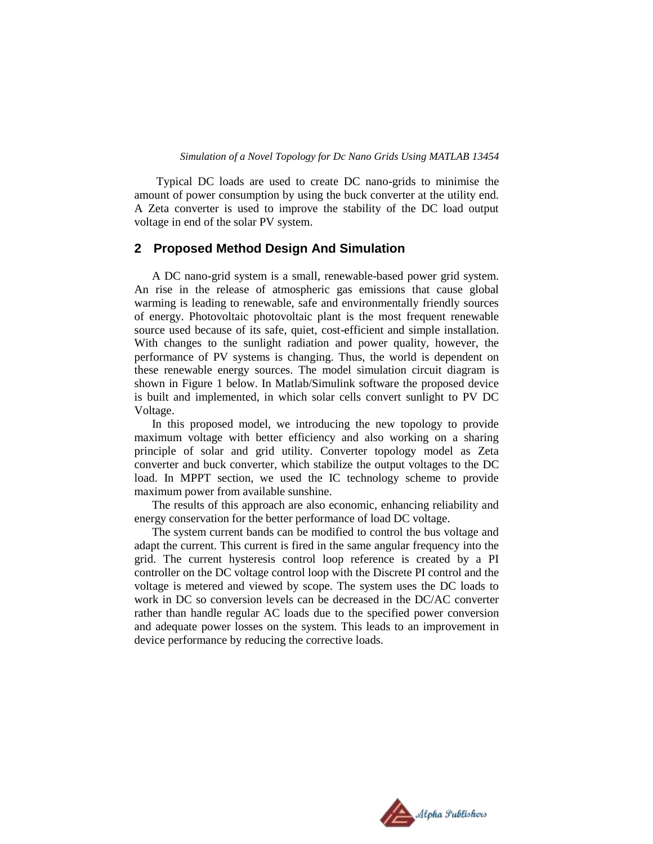Typical DC loads are used to create DC nano-grids to minimise the amount of power consumption by using the buck converter at the utility end. A Zeta converter is used to improve the stability of the DC load output voltage in end of the solar PV system.

# **2 Proposed Method Design And Simulation**

A DC nano-grid system is a small, renewable-based power grid system. An rise in the release of atmospheric gas emissions that cause global warming is leading to renewable, safe and environmentally friendly sources of energy. Photovoltaic photovoltaic plant is the most frequent renewable source used because of its safe, quiet, cost-efficient and simple installation. With changes to the sunlight radiation and power quality, however, the performance of PV systems is changing. Thus, the world is dependent on these renewable energy sources. The model simulation circuit diagram is shown in Figure 1 below. In Matlab/Simulink software the proposed device is built and implemented, in which solar cells convert sunlight to PV DC Voltage.

In this proposed model, we introducing the new topology to provide maximum voltage with better efficiency and also working on a sharing principle of solar and grid utility. Converter topology model as Zeta converter and buck converter, which stabilize the output voltages to the DC load. In MPPT section, we used the IC technology scheme to provide maximum power from available sunshine.

The results of this approach are also economic, enhancing reliability and energy conservation for the better performance of load DC voltage.

The system current bands can be modified to control the bus voltage and adapt the current. This current is fired in the same angular frequency into the grid. The current hysteresis control loop reference is created by a PI controller on the DC voltage control loop with the Discrete PI control and the voltage is metered and viewed by scope. The system uses the DC loads to work in DC so conversion levels can be decreased in the DC/AC converter rather than handle regular AC loads due to the specified power conversion and adequate power losses on the system. This leads to an improvement in device performance by reducing the corrective loads.

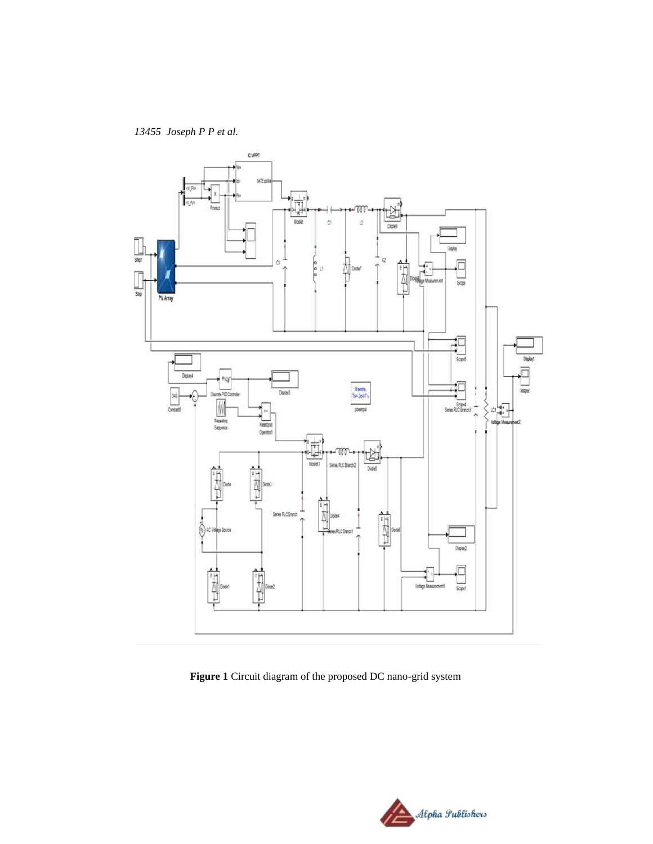

**Figure 1** Circuit diagram of the proposed DC nano-grid system

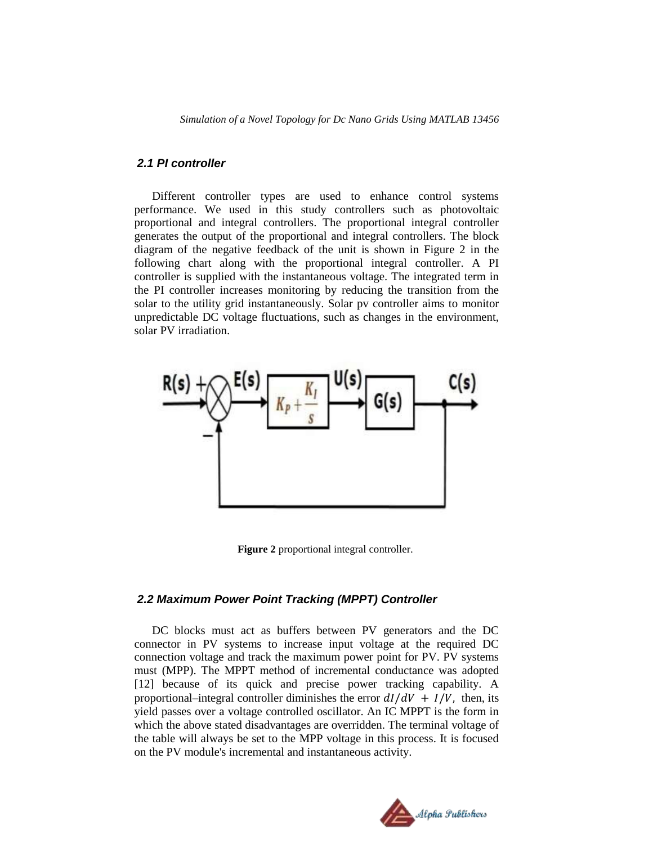*Simulation of a Novel Topology for Dc Nano Grids Using MATLAB 13456*

# *2.1 PI controller*

Different controller types are used to enhance control systems performance. We used in this study controllers such as photovoltaic proportional and integral controllers. The proportional integral controller generates the output of the proportional and integral controllers. The block diagram of the negative feedback of the unit is shown in Figure 2 in the following chart along with the proportional integral controller. A PI controller is supplied with the instantaneous voltage. The integrated term in the PI controller increases monitoring by reducing the transition from the solar to the utility grid instantaneously. Solar pv controller aims to monitor unpredictable DC voltage fluctuations, such as changes in the environment, solar PV irradiation.



**Figure 2** proportional integral controller.

### *2.2 Maximum Power Point Tracking (MPPT) Controller*

DC blocks must act as buffers between PV generators and the DC connector in PV systems to increase input voltage at the required DC connection voltage and track the maximum power point for PV. PV systems must (MPP). The MPPT method of incremental conductance was adopted [12] because of its quick and precise power tracking capability. A proportional–integral controller diminishes the error  $dI/dV + I/V$ , then, its yield passes over a voltage controlled oscillator. An IC MPPT is the form in which the above stated disadvantages are overridden. The terminal voltage of the table will always be set to the MPP voltage in this process. It is focused on the PV module's incremental and instantaneous activity.

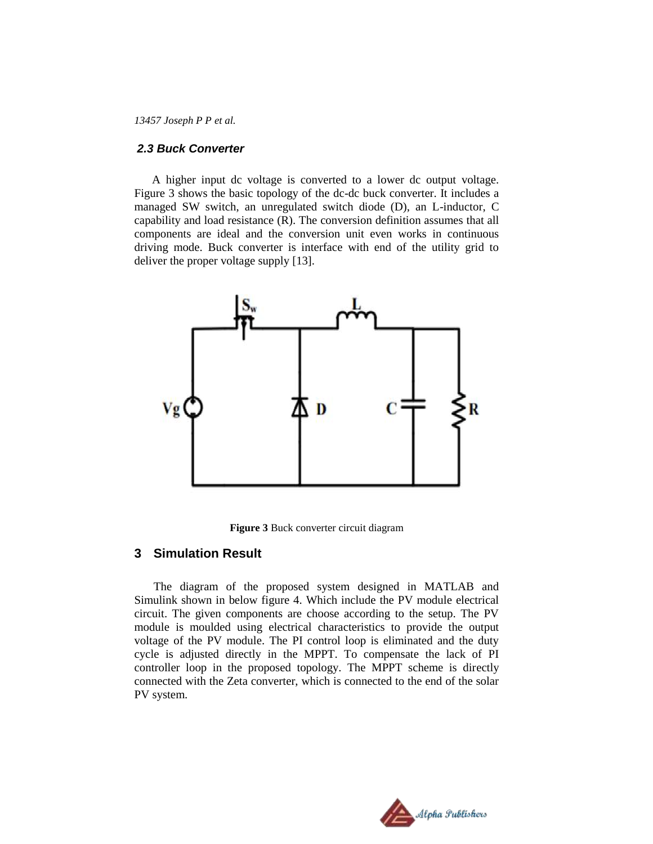#### *2.3 Buck Converter*

A higher input dc voltage is converted to a lower dc output voltage. Figure 3 shows the basic topology of the dc-dc buck converter. It includes a managed SW switch, an unregulated switch diode (D), an L-inductor, C capability and load resistance (R). The conversion definition assumes that all components are ideal and the conversion unit even works in continuous driving mode. Buck converter is interface with end of the utility grid to deliver the proper voltage supply [13].



**Figure 3** Buck converter circuit diagram

# **3 Simulation Result**

The diagram of the proposed system designed in MATLAB and Simulink shown in below figure 4. Which include the PV module electrical circuit. The given components are choose according to the setup. The PV module is moulded using electrical characteristics to provide the output voltage of the PV module. The PI control loop is eliminated and the duty cycle is adjusted directly in the MPPT. To compensate the lack of PI controller loop in the proposed topology. The MPPT scheme is directly connected with the Zeta converter, which is connected to the end of the solar PV system.

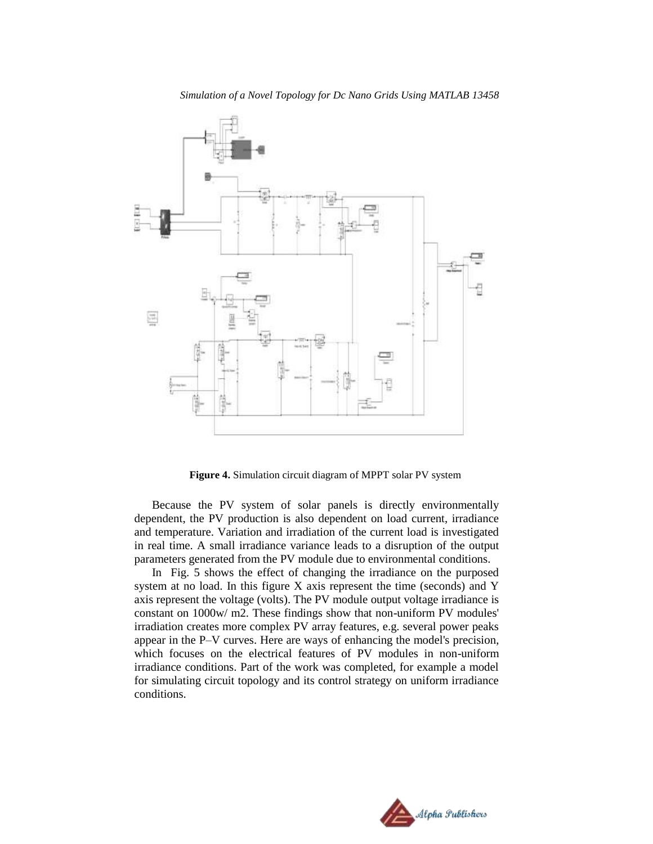

**Figure 4.** Simulation circuit diagram of MPPT solar PV system

Because the PV system of solar panels is directly environmentally dependent, the PV production is also dependent on load current, irradiance and temperature. Variation and irradiation of the current load is investigated in real time. A small irradiance variance leads to a disruption of the output parameters generated from the PV module due to environmental conditions.

In Fig. 5 shows the effect of changing the irradiance on the purposed system at no load. In this figure X axis represent the time (seconds) and Y axis represent the voltage (volts). The PV module output voltage irradiance is constant on 1000w/ m2. These findings show that non-uniform PV modules' irradiation creates more complex PV array features, e.g. several power peaks appear in the P–V curves. Here are ways of enhancing the model's precision, which focuses on the electrical features of PV modules in non-uniform irradiance conditions. Part of the work was completed, for example a model for simulating circuit topology and its control strategy on uniform irradiance conditions.

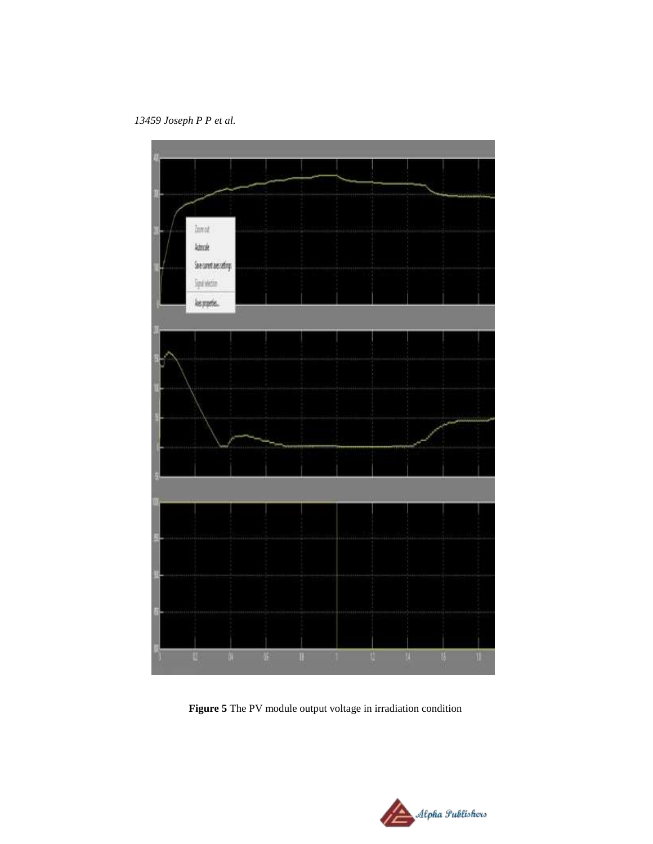

**Figure 5** The PV module output voltage in irradiation condition

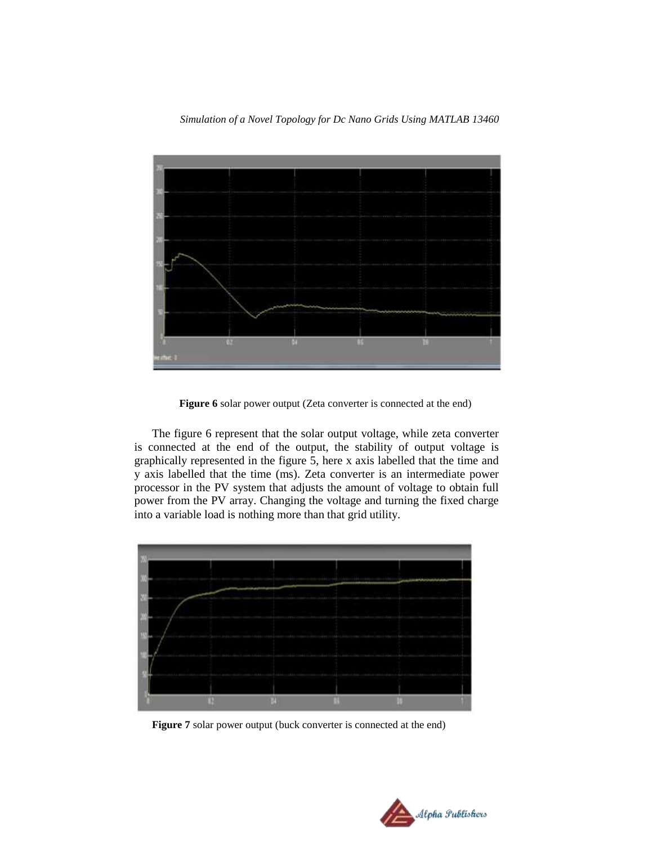

**Figure 6** solar power output (Zeta converter is connected at the end)

The figure 6 represent that the solar output voltage, while zeta converter is connected at the end of the output, the stability of output voltage is graphically represented in the figure 5, here x axis labelled that the time and y axis labelled that the time (ms). Zeta converter is an intermediate power processor in the PV system that adjusts the amount of voltage to obtain full power from the PV array. Changing the voltage and turning the fixed charge into a variable load is nothing more than that grid utility.



**Figure 7** solar power output (buck converter is connected at the end)

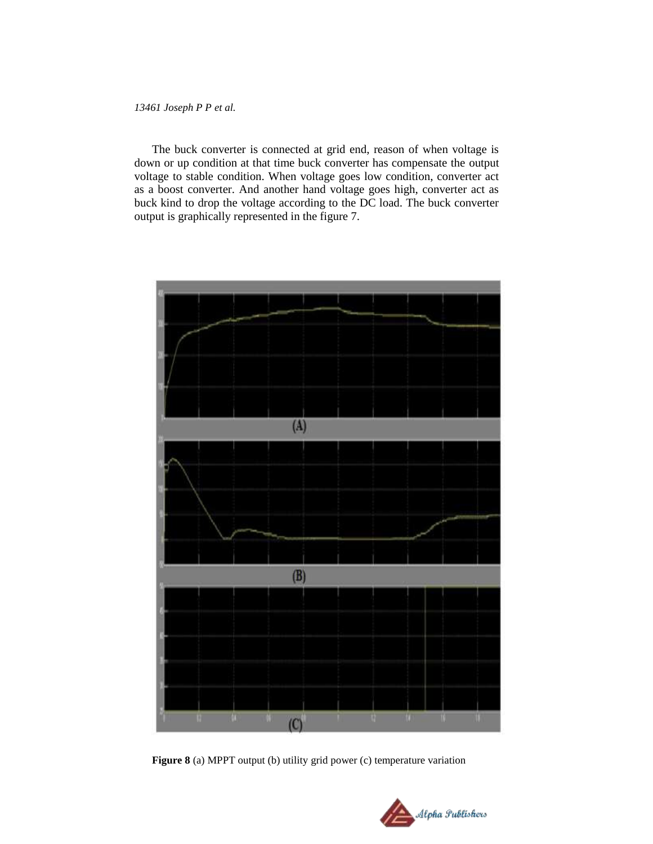The buck converter is connected at grid end, reason of when voltage is down or up condition at that time buck converter has compensate the output voltage to stable condition. When voltage goes low condition, converter act as a boost converter. And another hand voltage goes high, converter act as buck kind to drop the voltage according to the DC load. The buck converter output is graphically represented in the figure 7.



**Figure 8** (a) MPPT output (b) utility grid power (c) temperature variation

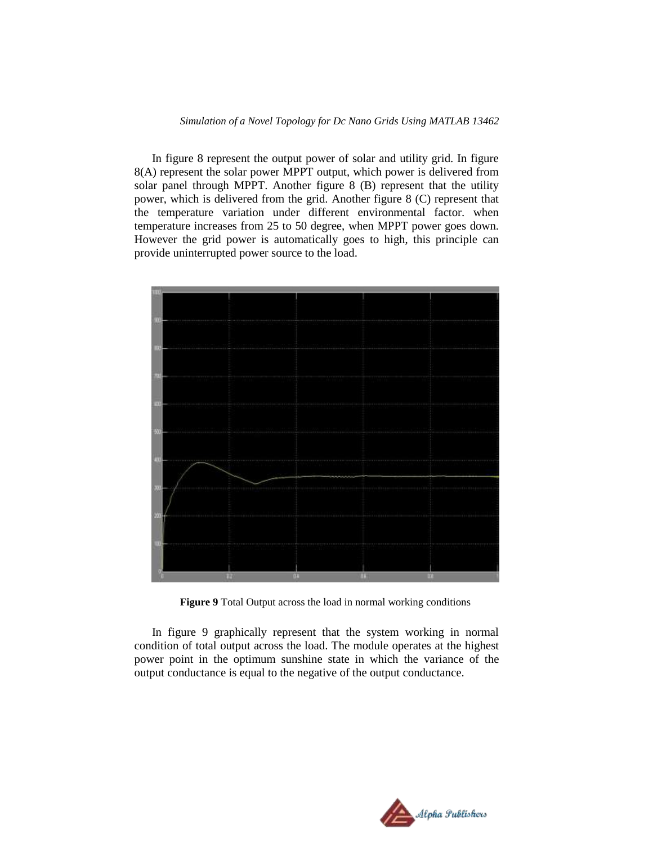In figure 8 represent the output power of solar and utility grid. In figure 8(A) represent the solar power MPPT output, which power is delivered from solar panel through MPPT. Another figure 8 (B) represent that the utility power, which is delivered from the grid. Another figure 8 (C) represent that the temperature variation under different environmental factor. when temperature increases from 25 to 50 degree, when MPPT power goes down. However the grid power is automatically goes to high, this principle can provide uninterrupted power source to the load.



**Figure 9** Total Output across the load in normal working conditions

In figure 9 graphically represent that the system working in normal condition of total output across the load. The module operates at the highest power point in the optimum sunshine state in which the variance of the output conductance is equal to the negative of the output conductance.

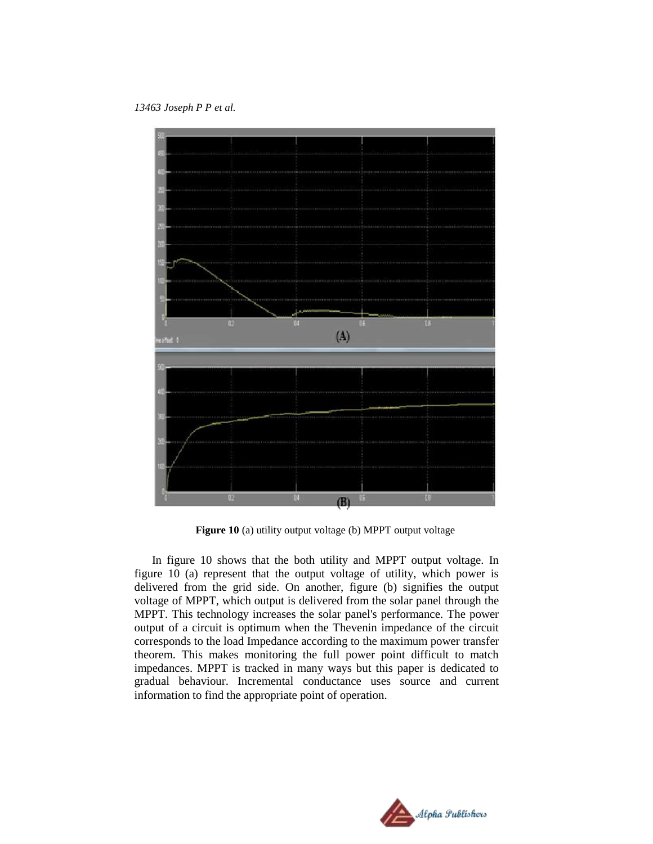*13463 Joseph P P et al.*



**Figure 10** (a) utility output voltage (b) MPPT output voltage

In figure 10 shows that the both utility and MPPT output voltage. In figure 10 (a) represent that the output voltage of utility, which power is delivered from the grid side. On another, figure (b) signifies the output voltage of MPPT, which output is delivered from the solar panel through the MPPT. This technology increases the solar panel's performance. The power output of a circuit is optimum when the Thevenin impedance of the circuit corresponds to the load Impedance according to the maximum power transfer theorem. This makes monitoring the full power point difficult to match impedances. MPPT is tracked in many ways but this paper is dedicated to gradual behaviour. Incremental conductance uses source and current information to find the appropriate point of operation.

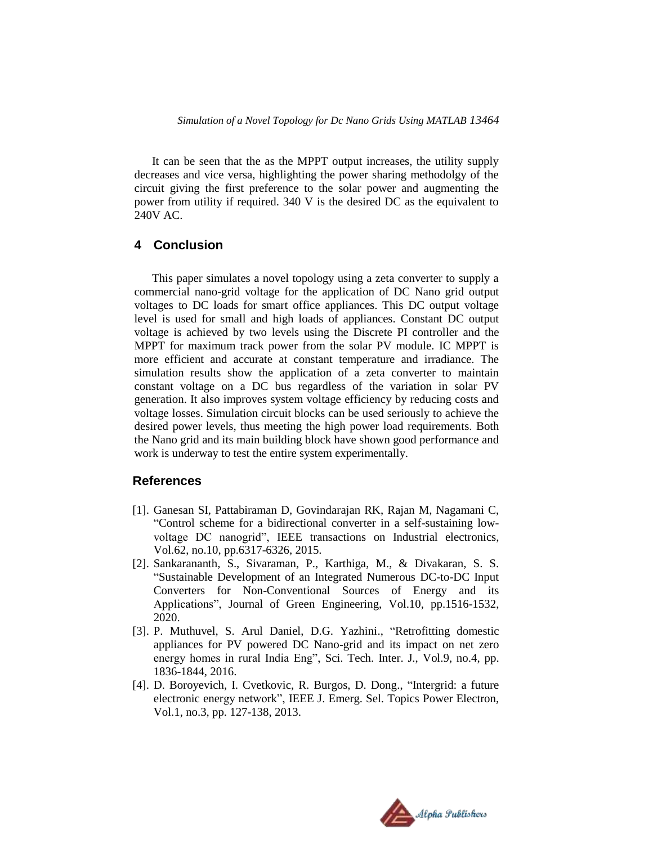It can be seen that the as the MPPT output increases, the utility supply decreases and vice versa, highlighting the power sharing methodolgy of the circuit giving the first preference to the solar power and augmenting the power from utility if required. 340 V is the desired DC as the equivalent to 240V AC.

# **4 Conclusion**

This paper simulates a novel topology using a zeta converter to supply a commercial nano-grid voltage for the application of DC Nano grid output voltages to DC loads for smart office appliances. This DC output voltage level is used for small and high loads of appliances. Constant DC output voltage is achieved by two levels using the Discrete PI controller and the MPPT for maximum track power from the solar PV module. IC MPPT is more efficient and accurate at constant temperature and irradiance. The simulation results show the application of a zeta converter to maintain constant voltage on a DC bus regardless of the variation in solar PV generation. It also improves system voltage efficiency by reducing costs and voltage losses. Simulation circuit blocks can be used seriously to achieve the desired power levels, thus meeting the high power load requirements. Both the Nano grid and its main building block have shown good performance and work is underway to test the entire system experimentally.

# **References**

- [1]. Ganesan SI, Pattabiraman D, Govindarajan RK, Rajan M, Nagamani C, "Control scheme for a bidirectional converter in a self-sustaining lowvoltage DC nanogrid", IEEE transactions on Industrial electronics, Vol.62, no.10, pp.6317-6326, 2015.
- [2]. Sankarananth, S., Sivaraman, P., Karthiga, M., & Divakaran, S. S. "Sustainable Development of an Integrated Numerous DC-to-DC Input Converters for Non-Conventional Sources of Energy and its Applications", Journal of Green Engineering, Vol.10, pp.1516-1532, 2020.
- [3]. P. Muthuvel, S. Arul Daniel, D.G. Yazhini., "Retrofitting domestic appliances for PV powered DC Nano-grid and its impact on net zero energy homes in rural India Eng", Sci. Tech. Inter. J., Vol.9, no.4, pp. 1836-1844, 2016.
- [4]. D. Boroyevich, I. Cvetkovic, R. Burgos, D. Dong., "Intergrid: a future electronic energy network", IEEE J. Emerg. Sel. Topics Power Electron, Vol.1, no.3, pp. 127-138, 2013.

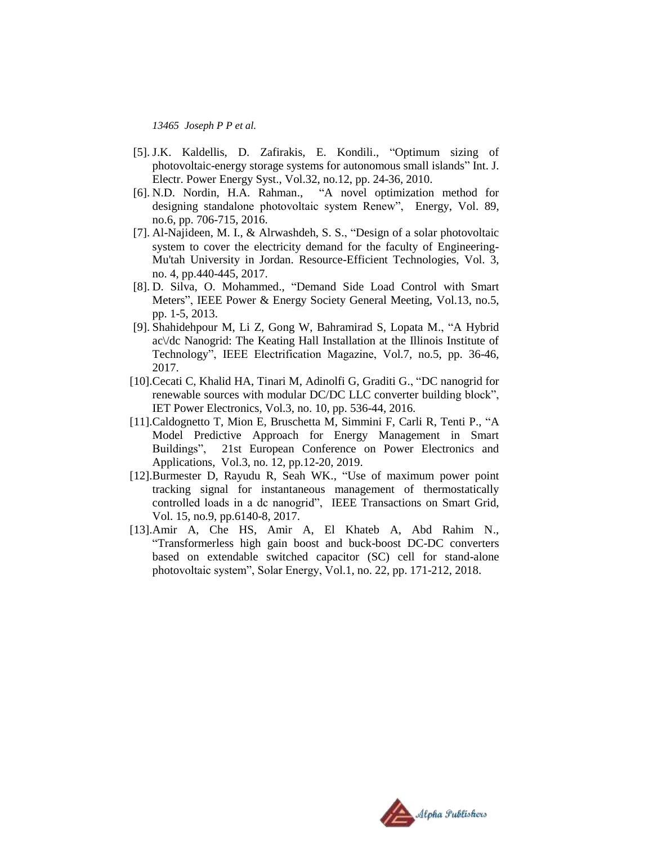- [5]. J.K. Kaldellis, D. Zafirakis, E. Kondili., "Optimum sizing of photovoltaic-energy storage systems for autonomous small islands" Int. J. Electr. Power Energy Syst., Vol.32, no.12, pp. 24-36, 2010.
- [6]. N.D. Nordin, H.A. Rahman., "A novel optimization method for designing standalone photovoltaic system Renew", Energy, Vol. 89, no.6, pp. 706-715, 2016.
- [7]. Al-Najideen, M. I., & Alrwashdeh, S. S., "Design of a solar photovoltaic system to cover the electricity demand for the faculty of Engineering-Mu'tah University in Jordan. Resource-Efficient Technologies, Vol. 3, no. 4, pp.440-445, 2017.
- [8]. D. Silva, O. Mohammed., "Demand Side Load Control with Smart Meters", IEEE Power & Energy Society General Meeting, Vol.13, no.5, pp. 1-5, 2013.
- [9]. Shahidehpour M, Li Z, Gong W, Bahramirad S, Lopata M., "A Hybrid ac\/dc Nanogrid: The Keating Hall Installation at the Illinois Institute of Technology", IEEE Electrification Magazine, Vol.7, no.5, pp. 36-46, 2017.
- [10].Cecati C, Khalid HA, Tinari M, Adinolfi G, Graditi G., "DC nanogrid for renewable sources with modular DC/DC LLC converter building block", IET Power Electronics, Vol.3, no. 10, pp. 536-44, 2016.
- [11].Caldognetto T, Mion E, Bruschetta M, Simmini F, Carli R, Tenti P., "A Model Predictive Approach for Energy Management in Smart Buildings", 21st European Conference on Power Electronics and Applications, Vol.3, no. 12, pp.12-20, 2019.
- [12].Burmester D, Rayudu R, Seah WK., "Use of maximum power point tracking signal for instantaneous management of thermostatically controlled loads in a dc nanogrid", IEEE Transactions on Smart Grid, Vol. 15, no.9, pp.6140-8, 2017.
- [13].Amir A, Che HS, Amir A, El Khateb A, Abd Rahim N., "Transformerless high gain boost and buck-boost DC-DC converters based on extendable switched capacitor (SC) cell for stand-alone photovoltaic system", Solar Energy, Vol.1, no. 22, pp. 171-212, 2018.